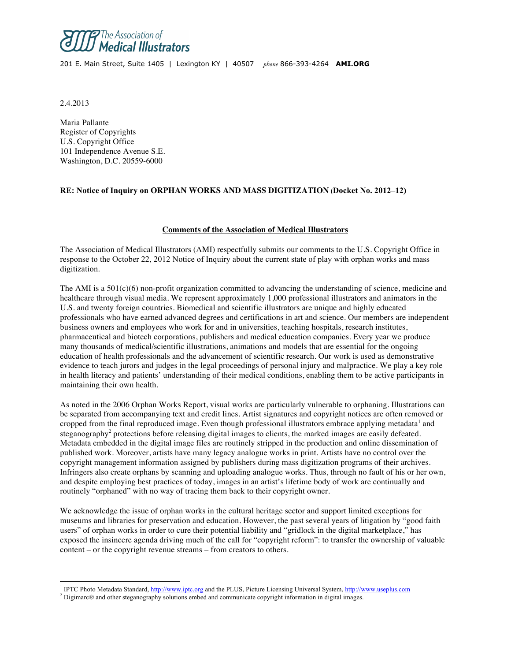

201 E. Main Street, Suite 1405 | Lexington KY | 40507 *phone* 866-393-4264 **AMI.ORG**

2.4.2013

Maria Pallante Register of Copyrights U.S. Copyright Office 101 Independence Avenue S.E. Washington, D.C. 20559-6000

# **RE: Notice of Inquiry on ORPHAN WORKS AND MASS DIGITIZATION (Docket No. 2012–12)**

### **Comments of the Association of Medical Illustrators**

The Association of Medical Illustrators (AMI) respectfully submits our comments to the U.S. Copyright Office in response to the October 22, 2012 Notice of Inquiry about the current state of play with orphan works and mass digitization.

The AMI is a  $501(c)(6)$  non-profit organization committed to advancing the understanding of science, medicine and healthcare through visual media. We represent approximately 1,000 professional illustrators and animators in the U.S. and twenty foreign countries. Biomedical and scientific illustrators are unique and highly educated professionals who have earned advanced degrees and certifications in art and science. Our members are independent business owners and employees who work for and in universities, teaching hospitals, research institutes, pharmaceutical and biotech corporations, publishers and medical education companies. Every year we produce many thousands of medical/scientific illustrations, animations and models that are essential for the ongoing education of health professionals and the advancement of scientific research. Our work is used as demonstrative evidence to teach jurors and judges in the legal proceedings of personal injury and malpractice. We play a key role in health literacy and patients' understanding of their medical conditions, enabling them to be active participants in maintaining their own health.

As noted in the 2006 Orphan Works Report, visual works are particularly vulnerable to orphaning. Illustrations can be separated from accompanying text and credit lines. Artist signatures and copyright notices are often removed or cropped from the final reproduced image. Even though professional illustrators embrace applying metadata<sup>1</sup> and steganography<sup>2</sup> protections before releasing digital images to clients, the marked images are easily defeated. Metadata embedded in the digital image files are routinely stripped in the production and online dissemination of published work. Moreover, artists have many legacy analogue works in print. Artists have no control over the copyright management information assigned by publishers during mass digitization programs of their archives. Infringers also create orphans by scanning and uploading analogue works. Thus, through no fault of his or her own, and despite employing best practices of today, images in an artist's lifetime body of work are continually and routinely "orphaned" with no way of tracing them back to their copyright owner.

We acknowledge the issue of orphan works in the cultural heritage sector and support limited exceptions for museums and libraries for preservation and education. However, the past several years of litigation by "good faith users" of orphan works in order to cure their potential liability and "gridlock in the digital marketplace," has exposed the insincere agenda driving much of the call for "copyright reform": to transfer the ownership of valuable content – or the copyright revenue streams – from creators to others.

<sup>&</sup>lt;sup>1</sup> IPTC Photo Metadata Standard, http://www.iptc.org and the PLUS, Picture Licensing Universal System, http://www.useplus.com

<sup>&</sup>lt;sup>2</sup> Digimarc® and other steganography solutions embed and communicate copyright information in digital images.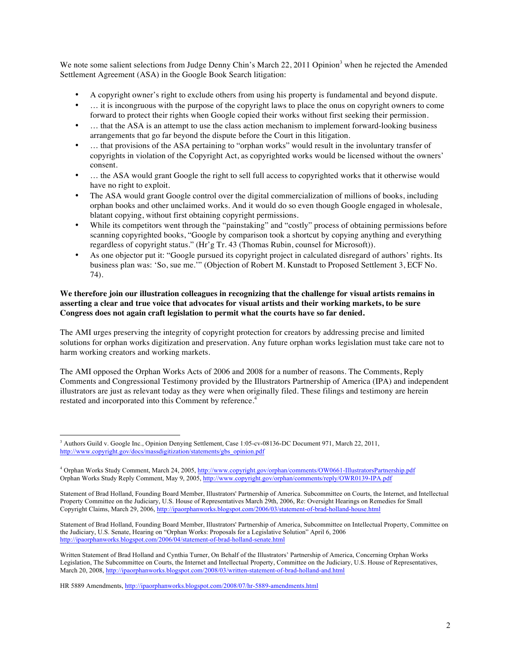We note some salient selections from Judge Denny Chin's March 22, 2011 Opinion<sup>3</sup> when he rejected the Amended Settlement Agreement (ASA) in the Google Book Search litigation:

- A copyright owner's right to exclude others from using his property is fundamental and beyond dispute.
- … it is incongruous with the purpose of the copyright laws to place the onus on copyright owners to come forward to protect their rights when Google copied their works without first seeking their permission.
- ... that the ASA is an attempt to use the class action mechanism to implement forward-looking business arrangements that go far beyond the dispute before the Court in this litigation.
- … that provisions of the ASA pertaining to "orphan works" would result in the involuntary transfer of copyrights in violation of the Copyright Act, as copyrighted works would be licensed without the owners' consent.
- ... the ASA would grant Google the right to sell full access to copyrighted works that it otherwise would have no right to exploit.
- The ASA would grant Google control over the digital commercialization of millions of books, including orphan books and other unclaimed works. And it would do so even though Google engaged in wholesale, blatant copying, without first obtaining copyright permissions.
- While its competitors went through the "painstaking" and "costly" process of obtaining permissions before scanning copyrighted books, "Google by comparison took a shortcut by copying anything and everything regardless of copyright status." (Hr'g Tr. 43 (Thomas Rubin, counsel for Microsoft)).
- As one objector put it: "Google pursued its copyright project in calculated disregard of authors' rights. Its business plan was: 'So, sue me.'" (Objection of Robert M. Kunstadt to Proposed Settlement 3, ECF No. 74).

## **We therefore join our illustration colleagues in recognizing that the challenge for visual artists remains in asserting a clear and true voice that advocates for visual artists and their working markets, to be sure Congress does not again craft legislation to permit what the courts have so far denied.**

The AMI urges preserving the integrity of copyright protection for creators by addressing precise and limited solutions for orphan works digitization and preservation. Any future orphan works legislation must take care not to harm working creators and working markets.

The AMI opposed the Orphan Works Acts of 2006 and 2008 for a number of reasons. The Comments, Reply Comments and Congressional Testimony provided by the Illustrators Partnership of America (IPA) and independent illustrators are just as relevant today as they were when originally filed. These filings and testimony are herein restated and incorporated into this Comment by reference.<sup>4</sup>

<sup>&</sup>lt;sup>3</sup> Authors Guild v. Google Inc., Opinion Denying Settlement, Case 1:05-cv-08136-DC Document 971, March 22, 2011. http://www.copyright.gov/docs/massdigitization/statements/gbs\_opinion.pdf

<sup>4</sup> Orphan Works Study Comment, March 24, 2005, http://www.copyright.gov/orphan/comments/OW0661-IllustratorsPartnership.pdf Orphan Works Study Reply Comment, May 9, 2005, http://www.copyright.gov/orphan/comments/reply/OWR0139-IPA.pdf

Statement of Brad Holland, Founding Board Member, Illustrators' Partnership of America. Subcommittee on Courts, the Internet, and Intellectual Property Committee on the Judiciary, U.S. House of Representatives March 29th, 2006, Re: Oversight Hearings on Remedies for Small Copyright Claims, March 29, 2006, http://ipaorphanworks.blogspot.com/2006/03/statement-of-brad-holland-house.html

Statement of Brad Holland, Founding Board Member, Illustrators' Partnership of America, Subcommittee on Intellectual Property, Committee on the Judiciary, U.S. Senate, Hearing on "Orphan Works: Proposals for a Legislative Solution" April 6, 2006 http://ipaorphanworks.blogspot.com/2006/04/statement-of-brad-holland-senate.html

Written Statement of Brad Holland and Cynthia Turner, On Behalf of the Illustrators' Partnership of America, Concerning Orphan Works Legislation, The Subcommittee on Courts, the Internet and Intellectual Property, Committee on the Judiciary, U.S. House of Representatives, March 20, 2008, http://ipaorphanworks.blogspot.com/2008/03/written-statement-of-brad-holland-and.html

HR 5889 Amendments, http://ipaorphanworks.blogspot.com/2008/07/hr-5889-amendments.html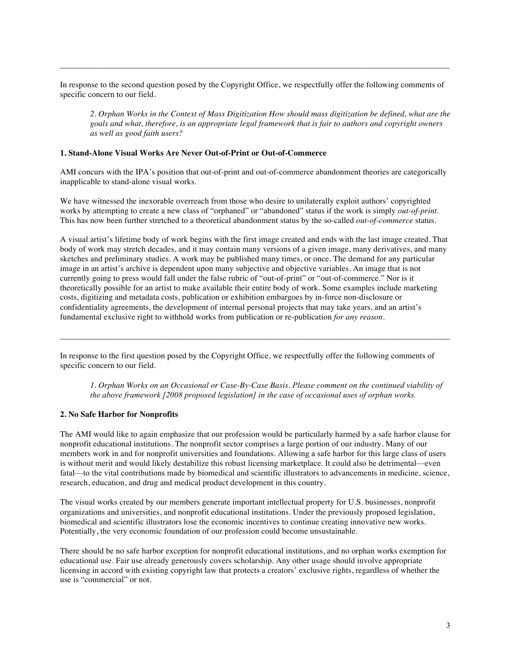In response to the second question posed by the Copyright Office, we respectfully offer the following comments of specific concern to our field.

\_\_\_\_\_\_\_\_\_\_\_\_\_\_\_\_\_\_\_\_\_\_\_\_\_\_\_\_\_\_\_\_\_\_\_\_\_\_\_\_\_\_\_\_\_\_\_\_\_\_\_\_\_\_\_\_\_\_\_\_\_\_\_\_\_\_\_\_\_\_\_\_\_\_\_\_\_\_\_\_\_\_\_\_\_\_\_\_\_\_\_\_\_

*2. Orphan Works in the Context of Mass Digitization How should mass digitization be defined, what are the goals and what, therefore, is an appropriate legal framework that is fair to authors and copyright owners as well as good faith users?*

### **1. Stand-Alone Visual Works Are Never Out-of-Print or Out-of-Commerce**

AMI concurs with the IPA's position that out-of-print and out-of-commerce abandonment theories are categorically inapplicable to stand-alone visual works.

We have witnessed the inexorable overreach from those who desire to unilaterally exploit authors' copyrighted works by attempting to create a new class of "orphaned" or "abandoned" status if the work is simply *out-of-print*. This has now been further stretched to a theoretical abandonment status by the so-called *out-of-commerce* status.

A visual artist's lifetime body of work begins with the first image created and ends with the last image created. That body of work may stretch decades, and it may contain many versions of a given image, many derivatives, and many sketches and preliminary studies. A work may be published many times, or once. The demand for any particular image in an artist's archive is dependent upon many subjective and objective variables. An image that is not currently going to press would fall under the false rubric of "out-of-print" or "out-of-commerce." Nor is it theoretically possible for an artist to make available their entire body of work. Some examples include marketing costs, digitizing and metadata costs, publication or exhibition embargoes by in-force non-disclosure or confidentiality agreements, the development of internal personal projects that may take years, and an artist's fundamental exclusive right to withhold works from publication or re-publication *for any reason*.

In response to the first question posed by the Copyright Office, we respectfully offer the following comments of specific concern to our field.

\_\_\_\_\_\_\_\_\_\_\_\_\_\_\_\_\_\_\_\_\_\_\_\_\_\_\_\_\_\_\_\_\_\_\_\_\_\_\_\_\_\_\_\_\_\_\_\_\_\_\_\_\_\_\_\_\_\_\_\_\_\_\_\_\_\_\_\_\_\_\_\_\_\_\_\_\_\_\_\_\_\_\_\_\_\_\_\_\_\_\_\_\_

*1. Orphan Works on an Occasional or Case-By-Case Basis. Please comment on the continued viability of the above framework [2008 proposed legislation] in the case of occasional uses of orphan works.*

#### **2. No Safe Harbor for Nonprofits**

The AMI would like to again emphasize that our profession would be particularly harmed by a safe harbor clause for nonprofit educational institutions. The nonprofit sector comprises a large portion of our industry. Many of our members work in and for nonprofit universities and foundations. Allowing a safe harbor for this large class of users is without merit and would likely destabilize this robust licensing marketplace. It could also be detrimental—even fatal—to the vital contributions made by biomedical and scientific illustrators to advancements in medicine, science, research, education, and drug and medical product development in this country.

The visual works created by our members generate important intellectual property for U.S. businesses, nonprofit organizations and universities, and nonprofit educational institutions. Under the previously proposed legislation, biomedical and scientific illustrators lose the economic incentives to continue creating innovative new works. Potentially, the very economic foundation of our profession could become unsustainable.

There should be no safe harbor exception for nonprofit educational institutions, and no orphan works exemption for educational use. Fair use already generously covers scholarship. Any other usage should involve appropriate licensing in accord with existing copyright law that protects a creators' exclusive rights, regardless of whether the use is "commercial" or not.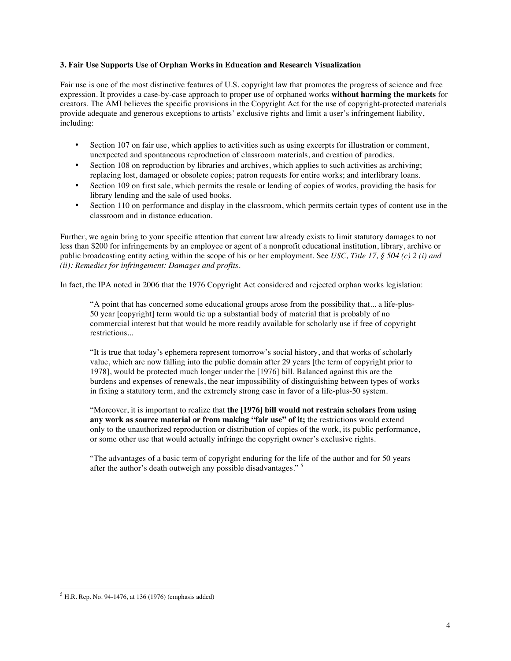## **3. Fair Use Supports Use of Orphan Works in Education and Research Visualization**

Fair use is one of the most distinctive features of U.S. copyright law that promotes the progress of science and free expression. It provides a case-by-case approach to proper use of orphaned works **without harming the markets** for creators. The AMI believes the specific provisions in the Copyright Act for the use of copyright-protected materials provide adequate and generous exceptions to artists' exclusive rights and limit a user's infringement liability, including:

- Section 107 on fair use, which applies to activities such as using excerpts for illustration or comment, unexpected and spontaneous reproduction of classroom materials, and creation of parodies.
- Section 108 on reproduction by libraries and archives, which applies to such activities as archiving; replacing lost, damaged or obsolete copies; patron requests for entire works; and interlibrary loans.
- Section 109 on first sale, which permits the resale or lending of copies of works, providing the basis for library lending and the sale of used books.
- Section 110 on performance and display in the classroom, which permits certain types of content use in the classroom and in distance education.

Further, we again bring to your specific attention that current law already exists to limit statutory damages to not less than \$200 for infringements by an employee or agent of a nonprofit educational institution, library, archive or public broadcasting entity acting within the scope of his or her employment. See *USC, Title 17, § 504 (c) 2 (i) and (ii): Remedies for infringement: Damages and profits*.

In fact, the IPA noted in 2006 that the 1976 Copyright Act considered and rejected orphan works legislation:

"A point that has concerned some educational groups arose from the possibility that... a life-plus-50 year [copyright] term would tie up a substantial body of material that is probably of no commercial interest but that would be more readily available for scholarly use if free of copyright restrictions...

"It is true that today's ephemera represent tomorrow's social history, and that works of scholarly value, which are now falling into the public domain after 29 years [the term of copyright prior to 1978], would be protected much longer under the [1976] bill. Balanced against this are the burdens and expenses of renewals, the near impossibility of distinguishing between types of works in fixing a statutory term, and the extremely strong case in favor of a life-plus-50 system.

"Moreover, it is important to realize that **the [1976] bill would not restrain scholars from using any work as source material or from making "fair use" of it;** the restrictions would extend only to the unauthorized reproduction or distribution of copies of the work, its public performance, or some other use that would actually infringe the copyright owner's exclusive rights.

"The advantages of a basic term of copyright enduring for the life of the author and for 50 years after the author's death outweigh any possible disadvantages." <sup>5</sup>

 $<sup>5</sup>$  H.R. Rep. No. 94-1476, at 136 (1976) (emphasis added)</sup>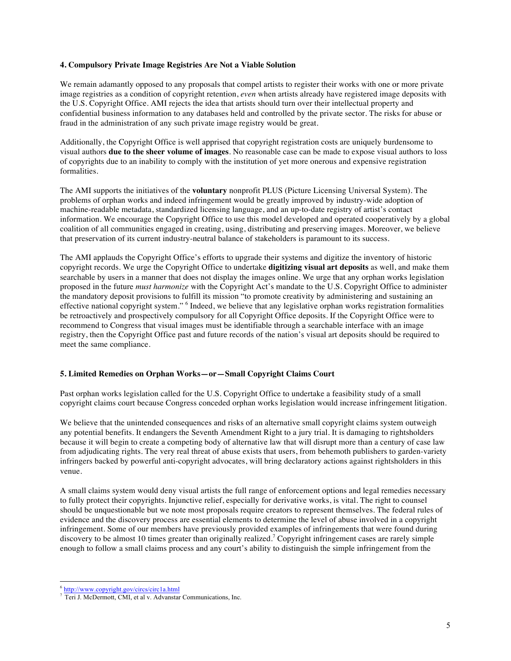### **4. Compulsory Private Image Registries Are Not a Viable Solution**

We remain adamantly opposed to any proposals that compel artists to register their works with one or more private image registries as a condition of copyright retention, *even* when artists already have registered image deposits with the U.S. Copyright Office. AMI rejects the idea that artists should turn over their intellectual property and confidential business information to any databases held and controlled by the private sector. The risks for abuse or fraud in the administration of any such private image registry would be great.

Additionally, the Copyright Office is well apprised that copyright registration costs are uniquely burdensome to visual authors **due to the sheer volume of images**. No reasonable case can be made to expose visual authors to loss of copyrights due to an inability to comply with the institution of yet more onerous and expensive registration formalities.

The AMI supports the initiatives of the **voluntary** nonprofit PLUS (Picture Licensing Universal System). The problems of orphan works and indeed infringement would be greatly improved by industry-wide adoption of machine-readable metadata, standardized licensing language, and an up-to-date registry of artist's contact information. We encourage the Copyright Office to use this model developed and operated cooperatively by a global coalition of all communities engaged in creating, using, distributing and preserving images. Moreover, we believe that preservation of its current industry-neutral balance of stakeholders is paramount to its success.

The AMI applauds the Copyright Office's efforts to upgrade their systems and digitize the inventory of historic copyright records. We urge the Copyright Office to undertake **digitizing visual art deposits** as well, and make them searchable by users in a manner that does not display the images online. We urge that any orphan works legislation proposed in the future *must harmonize* with the Copyright Act's mandate to the U.S. Copyright Office to administer the mandatory deposit provisions to fulfill its mission "to promote creativity by administering and sustaining an effective national copyright system." <sup>6</sup> Indeed, we believe that any legislative orphan works registration formalities be retroactively and prospectively compulsory for all Copyright Office deposits. If the Copyright Office were to recommend to Congress that visual images must be identifiable through a searchable interface with an image registry, then the Copyright Office past and future records of the nation's visual art deposits should be required to meet the same compliance.

# **5. Limited Remedies on Orphan Works—or—Small Copyright Claims Court**

Past orphan works legislation called for the U.S. Copyright Office to undertake a feasibility study of a small copyright claims court because Congress conceded orphan works legislation would increase infringement litigation.

We believe that the unintended consequences and risks of an alternative small copyright claims system outweigh any potential benefits. It endangers the Seventh Amendment Right to a jury trial. It is damaging to rightsholders because it will begin to create a competing body of alternative law that will disrupt more than a century of case law from adjudicating rights. The very real threat of abuse exists that users, from behemoth publishers to garden-variety infringers backed by powerful anti-copyright advocates, will bring declaratory actions against rightsholders in this venue.

A small claims system would deny visual artists the full range of enforcement options and legal remedies necessary to fully protect their copyrights. Injunctive relief, especially for derivative works, is vital. The right to counsel should be unquestionable but we note most proposals require creators to represent themselves. The federal rules of evidence and the discovery process are essential elements to determine the level of abuse involved in a copyright infringement. Some of our members have previously provided examples of infringements that were found during discovery to be almost 10 times greater than originally realized.<sup>7</sup> Copyright infringement cases are rarely simple enough to follow a small claims process and any court's ability to distinguish the simple infringement from the

 <sup>6</sup> http://www.copyright.gov/circs/circ1a.html

<sup>7</sup> Teri J. McDermott, CMI, et al v. Advanstar Communications, Inc.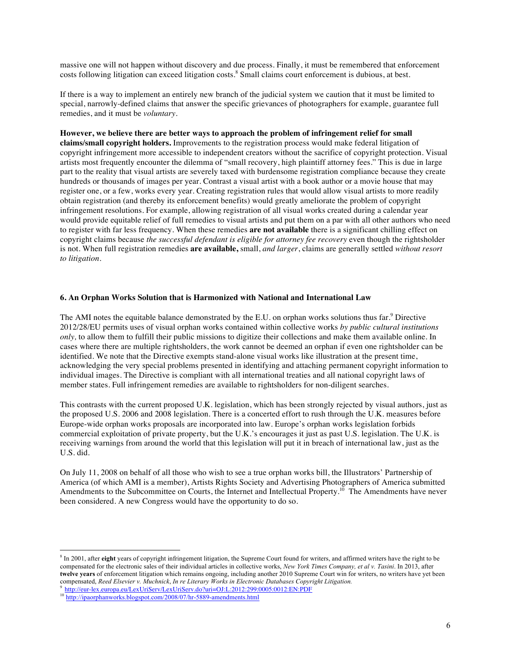massive one will not happen without discovery and due process. Finally, it must be remembered that enforcement costs following litigation can exceed litigation costs.<sup>8</sup> Small claims court enforcement is dubious, at best.

If there is a way to implement an entirely new branch of the judicial system we caution that it must be limited to special, narrowly-defined claims that answer the specific grievances of photographers for example, guarantee full remedies, and it must be *voluntary*.

**However, we believe there are better ways to approach the problem of infringement relief for small claims/small copyright holders.** Improvements to the registration process would make federal litigation of copyright infringement more accessible to independent creators without the sacrifice of copyright protection. Visual artists most frequently encounter the dilemma of "small recovery, high plaintiff attorney fees." This is due in large part to the reality that visual artists are severely taxed with burdensome registration compliance because they create hundreds or thousands of images per year. Contrast a visual artist with a book author or a movie house that may register one, or a few, works every year. Creating registration rules that would allow visual artists to more readily obtain registration (and thereby its enforcement benefits) would greatly ameliorate the problem of copyright infringement resolutions. For example, allowing registration of all visual works created during a calendar year would provide equitable relief of full remedies to visual artists and put them on a par with all other authors who need to register with far less frequency. When these remedies **are not available** there is a significant chilling effect on copyright claims because *the successful defendant is eligible for attorney fee recovery* even though the rightsholder is not. When full registration remedies **are available,** small, *and larger*, claims are generally settled *without resort to litigation*.

### **6. An Orphan Works Solution that is Harmonized with National and International Law**

The AMI notes the equitable balance demonstrated by the E.U. on orphan works solutions thus far.<sup>9</sup> Directive 2012/28/EU permits uses of visual orphan works contained within collective works *by public cultural institutions only,* to allow them to fulfill their public missions to digitize their collections and make them available online. In cases where there are multiple rightsholders, the work cannot be deemed an orphan if even one rightsholder can be identified. We note that the Directive exempts stand-alone visual works like illustration at the present time, acknowledging the very special problems presented in identifying and attaching permanent copyright information to individual images. The Directive is compliant with all international treaties and all national copyright laws of member states. Full infringement remedies are available to rightsholders for non-diligent searches.

This contrasts with the current proposed U.K. legislation, which has been strongly rejected by visual authors, just as the proposed U.S. 2006 and 2008 legislation. There is a concerted effort to rush through the U.K. measures before Europe-wide orphan works proposals are incorporated into law. Europe's orphan works legislation forbids commercial exploitation of private property, but the U.K.'s encourages it just as past U.S. legislation. The U.K. is receiving warnings from around the world that this legislation will put it in breach of international law, just as the U.S. did.

On July 11, 2008 on behalf of all those who wish to see a true orphan works bill, the Illustrators' Partnership of America (of which AMI is a member), Artists Rights Society and Advertising Photographers of America submitted Amendments to the Subcommittee on Courts, the Internet and Intellectual Property.<sup>10</sup> The Amendments have never been considered. A new Congress would have the opportunity to do so.

 <sup>8</sup> In 2001, after **eight** years of copyright infringement litigation, the Supreme Court found for writers, and affirmed writers have the right to be compensated for the electronic sales of their individual articles in collective works, *New York Times Company, et al v. Tasini*. In 2013, after **twelve years** of enforcement litigation which remains ongoing, including another 2010 Supreme Court win for writers, no writers have yet been compensated, *Reed Elsevier v. Muchnick*, *In re Literary Works in Electronic Databases Copyright Litigation.* <sup>9</sup> http://eur-lex.europa.eu/LexUriServ/LexUriServ.do?uri=OJ:L:2012:299:0005:0012:EN:PDF

<sup>&</sup>lt;sup>10</sup> http://ipaorphanworks.blogspot.com/2008/07/hr-5889-amendments.html